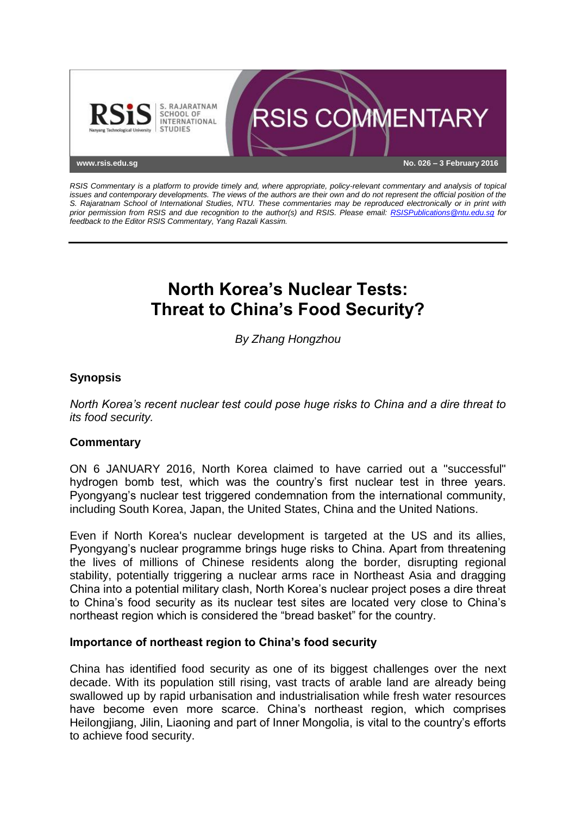

*RSIS Commentary is a platform to provide timely and, where appropriate, policy-relevant commentary and analysis of topical issues and contemporary developments. The views of the authors are their own and do not represent the official position of the S. Rajaratnam School of International Studies, NTU. These commentaries may be reproduced electronically or in print with prior permission from RSIS and due recognition to the author(s) and RSIS. Please email: [RSISPublications@ntu.edu.sg](mailto:RSISPublications@ntu.edu.sg) for feedback to the Editor RSIS Commentary, Yang Razali Kassim.*

# **North Korea's Nuclear Tests: Threat to China's Food Security?**

*By Zhang Hongzhou*

## **Synopsis**

*North Korea's recent nuclear test could pose huge risks to China and a dire threat to its food security.*

### **Commentary**

ON 6 JANUARY 2016, North Korea claimed to have carried out a "successful" hydrogen bomb test, which was the country's first nuclear test in three years. Pyongyang's nuclear test triggered condemnation from the international community, including South Korea, Japan, the United States, China and the United Nations.

Even if North Korea's nuclear development is targeted at the US and its allies, Pyongyang's nuclear programme brings huge risks to China. Apart from threatening the lives of millions of Chinese residents along the border, disrupting regional stability, potentially triggering a nuclear arms race in Northeast Asia and dragging China into a potential military clash, North Korea's nuclear project poses a dire threat to China's food security as its nuclear test sites are located very close to China's northeast region which is considered the "bread basket" for the country.

### **Importance of northeast region to China's food security**

China has identified food security as one of its biggest challenges over the next decade. With its population still rising, vast tracts of arable land are already being swallowed up by rapid urbanisation and industrialisation while fresh water resources have become even more scarce. China's northeast region, which comprises Heilongjiang, Jilin, Liaoning and part of Inner Mongolia, is vital to the country's efforts to achieve food security.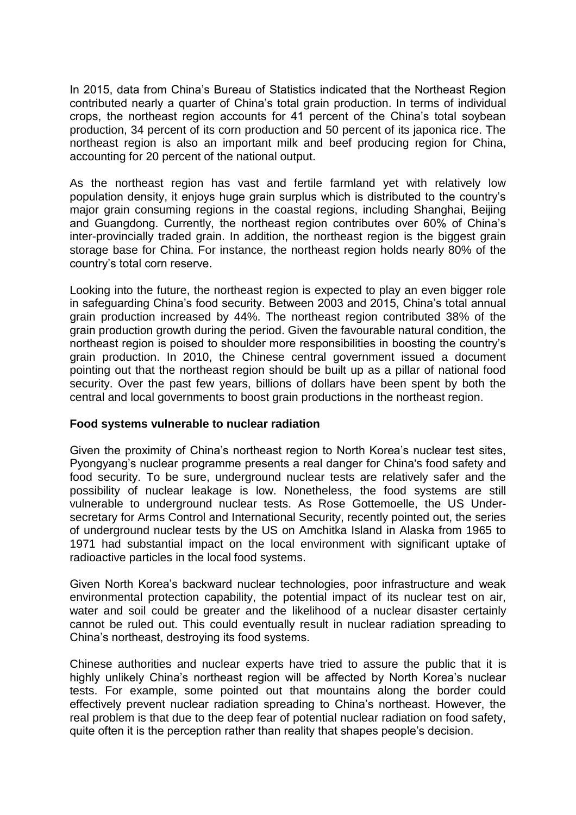In 2015, data from China's Bureau of Statistics indicated that the Northeast Region contributed nearly a quarter of China's total grain production. In terms of individual crops, the northeast region accounts for 41 percent of the China's total soybean production, 34 percent of its corn production and 50 percent of its japonica rice. The northeast region is also an important milk and beef producing region for China, accounting for 20 percent of the national output.

As the northeast region has vast and fertile farmland yet with relatively low population density, it enjoys huge grain surplus which is distributed to the country's major grain consuming regions in the coastal regions, including Shanghai, Beijing and Guangdong. Currently, the northeast region contributes over 60% of China's inter-provincially traded grain. In addition, the northeast region is the biggest grain storage base for China. For instance, the northeast region holds nearly 80% of the country's total corn reserve.

Looking into the future, the northeast region is expected to play an even bigger role in safeguarding China's food security. Between 2003 and 2015, China's total annual grain production increased by 44%. The northeast region contributed 38% of the grain production growth during the period. Given the favourable natural condition, the northeast region is poised to shoulder more responsibilities in boosting the country's grain production. In 2010, the Chinese central government issued a document pointing out that the northeast region should be built up as a pillar of national food security. Over the past few years, billions of dollars have been spent by both the central and local governments to boost grain productions in the northeast region.

### **Food systems vulnerable to nuclear radiation**

Given the proximity of China's northeast region to North Korea's nuclear test sites, Pyongyang's nuclear programme presents a real danger for China's food safety and food security. To be sure, underground nuclear tests are relatively safer and the possibility of nuclear leakage is low. Nonetheless, the food systems are still vulnerable to underground nuclear tests. As Rose Gottemoelle, the US Undersecretary for Arms Control and International Security, recently pointed out, the series of underground nuclear tests by the US on Amchitka Island in Alaska from 1965 to 1971 had substantial impact on the local environment with significant uptake of radioactive particles in the local food systems.

Given North Korea's backward nuclear technologies, poor infrastructure and weak environmental protection capability, the potential impact of its nuclear test on air, water and soil could be greater and the likelihood of a nuclear disaster certainly cannot be ruled out. This could eventually result in nuclear radiation spreading to China's northeast, destroying its food systems.

Chinese authorities and nuclear experts have tried to assure the public that it is highly unlikely China's northeast region will be affected by North Korea's nuclear tests. For example, some pointed out that mountains along the border could effectively prevent nuclear radiation spreading to China's northeast. However, the real problem is that due to the deep fear of potential nuclear radiation on food safety, quite often it is the perception rather than reality that shapes people's decision.